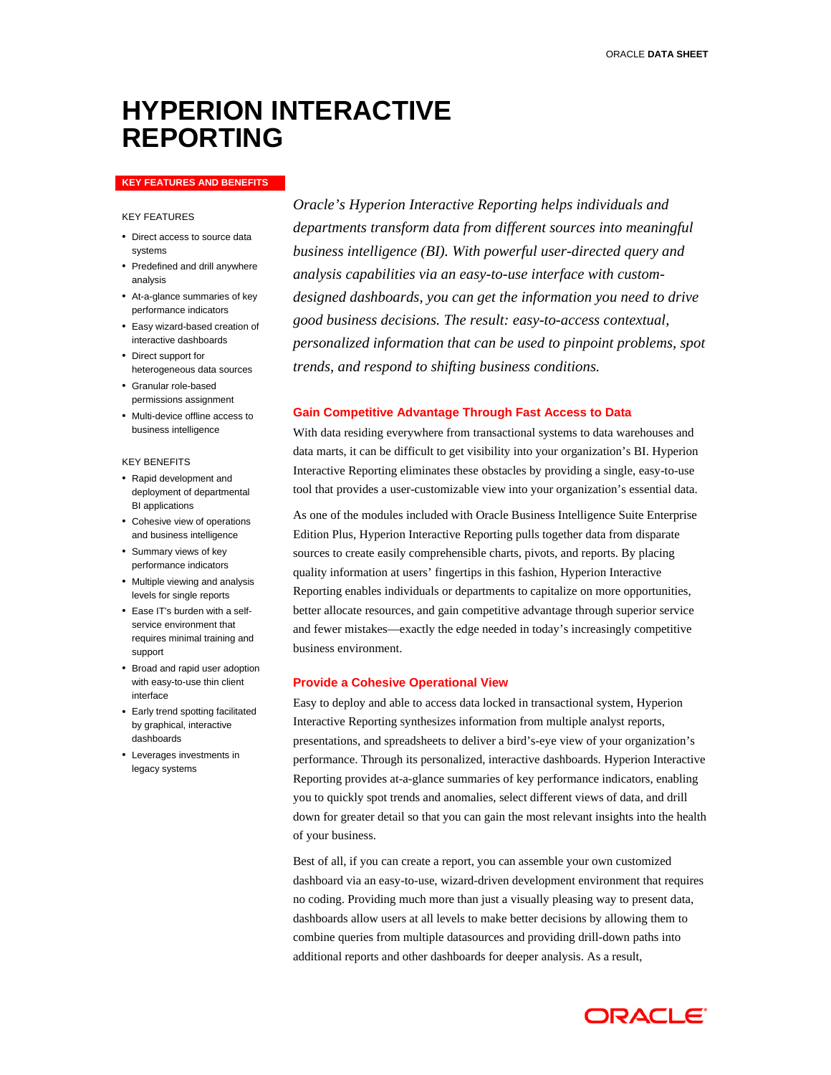# **HYPERION INTERACTIVE REPORTING**

#### **KEY FEATURES AND BENEFITS**

## KEY FEATURES

- Direct access to source data systems
- Predefined and drill anywhere analysis
- At-a-glance summaries of key performance indicators
- Easy wizard-based creation of interactive dashboards
- Direct support for heterogeneous data sources
- Granular role-based permissions assignment
- Multi-device offline access to business intelligence

#### KEY BENEFITS

- Rapid development and deployment of departmental BI applications
- Cohesive view of operations and business intelligence
- Summary views of key performance indicators
- Multiple viewing and analysis levels for single reports
- Ease IT's burden with a selfservice environment that requires minimal training and support
- Broad and rapid user adoption with easy-to-use thin client interface
- Early trend spotting facilitated by graphical, interactive dashboards
- Leverages investments in legacy systems

*Oracle's Hyperion Interactive Reporting helps individuals and departments transform data from different sources into meaningful business intelligence (BI). With powerful user-directed query and analysis capabilities via an easy-to-use interface with customdesigned dashboards, you can get the information you need to drive good business decisions. The result: easy-to-access contextual, personalized information that can be used to pinpoint problems, spot trends, and respond to shifting business conditions.* 

## **Gain Competitive Advantage Through Fast Access to Data**

With data residing everywhere from transactional systems to data warehouses and data marts, it can be difficult to get visibility into your organization's BI. Hyperion Interactive Reporting eliminates these obstacles by providing a single, easy-to-use tool that provides a user-customizable view into your organization's essential data.

As one of the modules included with Oracle Business Intelligence Suite Enterprise Edition Plus, Hyperion Interactive Reporting pulls together data from disparate sources to create easily comprehensible charts, pivots, and reports. By placing quality information at users' fingertips in this fashion, Hyperion Interactive Reporting enables individuals or departments to capitalize on more opportunities, better allocate resources, and gain competitive advantage through superior service and fewer mistakes—exactly the edge needed in today's increasingly competitive business environment.

## **Provide a Cohesive Operational View**

Easy to deploy and able to access data locked in transactional system, Hyperion Interactive Reporting synthesizes information from multiple analyst reports, presentations, and spreadsheets to deliver a bird's-eye view of your organization's performance. Through its personalized, interactive dashboards. Hyperion Interactive Reporting provides at-a-glance summaries of key performance indicators, enabling you to quickly spot trends and anomalies, select different views of data, and drill down for greater detail so that you can gain the most relevant insights into the health of your business.

Best of all, if you can create a report, you can assemble your own customized dashboard via an easy-to-use, wizard-driven development environment that requires no coding. Providing much more than just a visually pleasing way to present data, dashboards allow users at all levels to make better decisions by allowing them to combine queries from multiple datasources and providing drill-down paths into additional reports and other dashboards for deeper analysis. As a result,

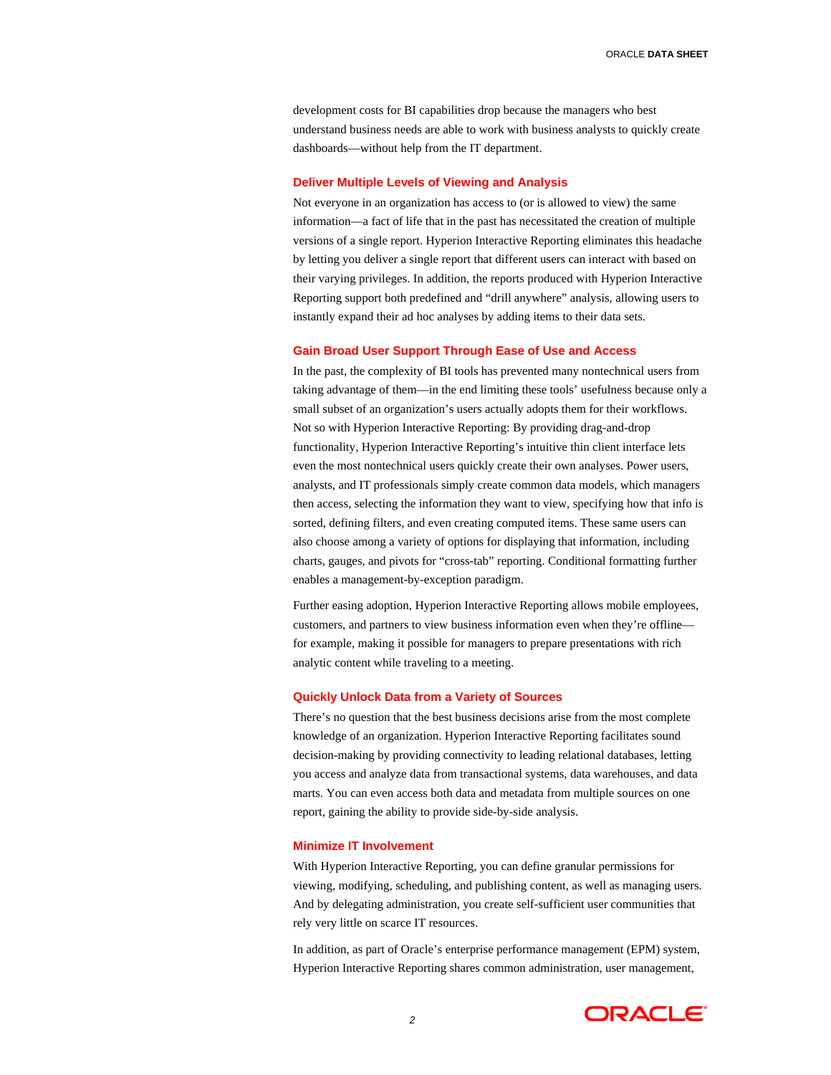ORACLE **DATA SHEET**

development costs for BI capabilities drop because the managers who best understand business needs are able to work with business analysts to quickly create dashboards—without help from the IT department.

## **Deliver Multiple Levels of Viewing and Analysis**

Not everyone in an organization has access to (or is allowed to view) the same information—a fact of life that in the past has necessitated the creation of multiple versions of a single report. Hyperion Interactive Reporting eliminates this headache by letting you deliver a single report that different users can interact with based on their varying privileges. In addition, the reports produced with Hyperion Interactive Reporting support both predefined and "drill anywhere" analysis, allowing users to instantly expand their ad hoc analyses by adding items to their data sets.

## **Gain Broad User Support Through Ease of Use and Access**

In the past, the complexity of BI tools has prevented many nontechnical users from taking advantage of them—in the end limiting these tools' usefulness because only a small subset of an organization's users actually adopts them for their workflows. Not so with Hyperion Interactive Reporting: By providing drag-and-drop functionality, Hyperion Interactive Reporting's intuitive thin client interface lets even the most nontechnical users quickly create their own analyses. Power users, analysts, and IT professionals simply create common data models, which managers then access, selecting the information they want to view, specifying how that info is sorted, defining filters, and even creating computed items. These same users can also choose among a variety of options for displaying that information, including charts, gauges, and pivots for "cross-tab" reporting. Conditional formatting further enables a management-by-exception paradigm.

Further easing adoption, Hyperion Interactive Reporting allows mobile employees, customers, and partners to view business information even when they're offline for example, making it possible for managers to prepare presentations with rich analytic content while traveling to a meeting.

#### **Quickly Unlock Data from a Variety of Sources**

There's no question that the best business decisions arise from the most complete knowledge of an organization. Hyperion Interactive Reporting facilitates sound decision-making by providing connectivity to leading relational databases, letting you access and analyze data from transactional systems, data warehouses, and data marts. You can even access both data and metadata from multiple sources on one report, gaining the ability to provide side-by-side analysis.

## **Minimize IT Involvement**

With Hyperion Interactive Reporting, you can define granular permissions for viewing, modifying, scheduling, and publishing content, as well as managing users. And by delegating administration, you create self-sufficient user communities that rely very little on scarce IT resources.

In addition, as part of Oracle's enterprise performance management (EPM) system, Hyperion Interactive Reporting shares common administration, user management,